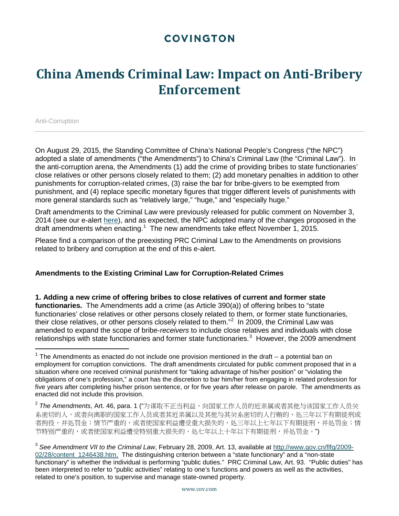## **COVINGTON**

## **China Amends Criminal Law: Impact on Anti-Bribery Enforcement**

Anti-Corruption

l

On August 29, 2015, the Standing Committee of China's National People's Congress ("the NPC") adopted a slate of amendments ("the Amendments") to China's Criminal Law (the "Criminal Law"). In the anti-corruption arena, the Amendments (1) add the crime of providing bribes to state functionaries' close relatives or other persons closely related to them; (2) add monetary penalties in addition to other punishments for corruption-related crimes, (3) raise the bar for bribe-givers to be exempted from punishment, and (4) replace specific monetary figures that trigger different levels of punishments with more general standards such as "relatively large," "huge," and "especially huge."

Draft amendments to the Criminal Law were previously released for public comment on November 3, 2014 (see our e-alert [here\)](https://www.cov.com/~/media/files/corporate/publications/2014/11/draft_amendments_to_chinas_criminal_law_would_broaden_legal_tools_in_fight_against_corruption.pdf), and as expected, the NPC adopted many of the changes proposed in the draft amendments when enacting.<sup>[1](#page-0-0)</sup> The new amendments take effect November 1, 2015.

Please find a comparison of the preexisting PRC Criminal Law to the Amendments on provisions related to bribery and corruption at the end of this e-alert.

#### **Amendments to the Existing Criminal Law for Corruption-Related Crimes**

**1. Adding a new crime of offering bribes to close relatives of current and former state functionaries.** The Amendments add a crime (as Article 390(a)) of offering bribes to "state functionaries' close relatives or other persons closely related to them, or former state functionaries, their close relatives, or other persons closely related to them."<sup>[2](#page-0-1)</sup> In 2009, the Criminal Law was amended to expand the scope of bribe-*receivers* to include close relatives and individuals with close relationships with state functionaries and former state functionaries.<sup>[3](#page-0-2)</sup> However, the 2009 amendment

<span id="page-0-0"></span> $1$  The Amendments as enacted do not include one provision mentioned in the draft  $-$  a potential ban on employment for corruption convictions. The draft amendments circulated for public comment proposed that in a situation where one received criminal punishment for "taking advantage of his/her position" or "violating the obligations of one's profession," a court has the discretion to bar him/her from engaging in related profession for five years after completing his/her prison sentence, or for five years after release on parole. The amendments as enacted did not include this provision.

<span id="page-0-1"></span><sup>&</sup>lt;sup>2</sup> The Amendments, Art. 46, para. 1 ("为谋取不正当利益, 向国家工作人员的近亲属或者其他与该国家工作人员关 系密切的人,或者向离职的国家工作人员或者其近亲属以及其他与其关系密切的人行贿的,处三年以下有期徒刑或 者拘役,并处罚金;情节严重的,或者使国家利益遭受重大损失的,处三年以上七年以下有期徒刑,并处罚金;情 节特别严重的,或者使国家利益遭受特别重大损失的,处七年以上十年以下有期徒刑,并处罚金。")

<span id="page-0-2"></span><sup>3</sup> *See Amendment VII to the Criminal Law*, February 28, 2009, Art. 13, available at [http://www.gov.cn/flfg/2009-](http://www.gov.cn/flfg/2009-02/28/content_1246438.htm) [02/28/content\\_1246438.htm.](http://www.gov.cn/flfg/2009-02/28/content_1246438.htm) The distinguishing criterion between a "state functionary" and a "non-state functionary" is whether the individual is performing "public duties." PRC Criminal Law, Art. 93. "Public duties" has been interpreted to refer to "public activities" relating to one's functions and powers as well as the activities, related to one's position, to supervise and manage state-owned property.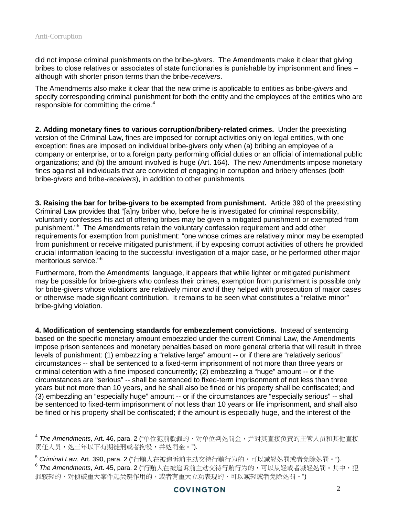did not impose criminal punishments on the bribe-*givers*. The Amendments make it clear that giving bribes to close relatives or associates of state functionaries is punishable by imprisonment and fines - although with shorter prison terms than the bribe-*receivers*.

The Amendments also make it clear that the new crime is applicable to entities as bribe-*givers* and specify corresponding criminal punishment for both the entity and the employees of the entities who are responsible for committing the crime. $4$ 

**2. Adding monetary fines to various corruption/bribery-related crimes.** Under the preexisting version of the Criminal Law, fines are imposed for corrupt activities only on legal entities, with one exception: fines are imposed on individual bribe-givers only when (a) bribing an employee of a company or enterprise, or to a foreign party performing official duties or an official of international public organizations; and (b) the amount involved is huge (Art. 164). The new Amendments impose monetary fines against all individuals that are convicted of engaging in corruption and bribery offenses (both bribe-*givers* and bribe-*receivers*), in addition to other punishments.

**3. Raising the bar for bribe-givers to be exempted from punishment.** Article 390 of the preexisting Criminal Law provides that "[a]ny briber who, before he is investigated for criminal responsibility, voluntarily confesses his act of offering bribes may be given a mitigated punishment or exempted from punishment."<sup>[5](#page-1-1)</sup> The Amendments retain the voluntary confession requirement and add other requirements for exemption from punishment: "one whose crimes are relatively minor may be exempted from punishment or receive mitigated punishment, if by exposing corrupt activities of others he provided crucial information leading to the successful investigation of a major case, or he performed other major meritorious service."[6](#page-1-2)

Furthermore, from the Amendments' language, it appears that while lighter or mitigated punishment may be possible for bribe-givers who confess their crimes, exemption from punishment is possible only for bribe-givers whose violations are relatively minor *and* if they helped with prosecution of major cases or otherwise made significant contribution. It remains to be seen what constitutes a "relative minor" bribe-giving violation.

**4. Modification of sentencing standards for embezzlement convictions.** Instead of sentencing based on the specific monetary amount embezzled under the current Criminal Law, the Amendments impose prison sentences and monetary penalties based on more general criteria that will result in three levels of punishment: (1) embezzling a "relative large" amount -- or if there are "relatively serious" circumstances -- shall be sentenced to a fixed-term imprisonment of not more than three years or criminal detention with a fine imposed concurrently; (2) embezzling a "huge" amount -- or if the circumstances are "serious" -- shall be sentenced to fixed-term imprisonment of not less than three years but not more than 10 years, and he shall also be fined or his property shall be confiscated; and (3) embezzling an "especially huge" amount -- or if the circumstances are "especially serious" -- shall be sentenced to fixed-term imprisonment of not less than 10 years or life imprisonment, and shall also be fined or his property shall be confiscated; if the amount is especially huge, and the interest of the

<span id="page-1-0"></span> $^4$  The Amendments, Art. 46, para. 2 ("单位犯前款罪的,对单位判处罚金,并对其直接负责的主管人员和其他直接 责任人员,处三年以下有期徒刑或者拘役,并处罚金。").

<span id="page-1-2"></span><span id="page-1-1"></span><sup>&</sup>lt;sup>5</sup> Criminal Law, Art. 390, para. 2 ("行贿人在被追诉前主动交待行贿行为的,可以减轻处罚或者免除处罚。").  $^6$  The Amendments, Art. 45, para. 2 ("行贿人在被追诉前主动交待行贿行为的,可以从轻或者减轻处罚。其中,犯

罪较轻的,对侦破重大案件起关键作用的,或者有重大立功表现的,可以减轻或者免除处罚。")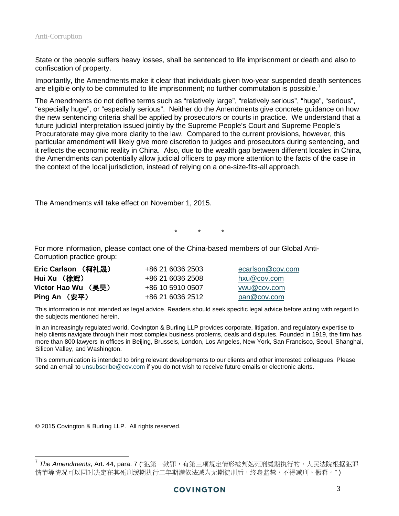State or the people suffers heavy losses, shall be sentenced to life imprisonment or death and also to confiscation of property.

Importantly, the Amendments make it clear that individuals given two-year suspended death sentences are eligible only to be commuted to life imprisonment; no further commutation is possible.<sup>[7](#page-2-0)</sup>

The Amendments do not define terms such as "relatively large", "relatively serious", "huge", "serious", "especially huge", or "especially serious". Neither do the Amendments give concrete guidance on how the new sentencing criteria shall be applied by prosecutors or courts in practice. We understand that a future judicial interpretation issued jointly by the Supreme People's Court and Supreme People's Procuratorate may give more clarity to the law. Compared to the current provisions, however, this particular amendment will likely give more discretion to judges and prosecutors during sentencing, and it reflects the economic reality in China. Also, due to the wealth gap between different locales in China, the Amendments can potentially allow judicial officers to pay more attention to the facts of the case in the context of the local jurisdiction, instead of relying on a one-size-fits-all approach.

The Amendments will take effect on November 1, 2015.

\* \* \*

For more information, please contact one of the China-based members of our Global Anti-Corruption practice group:

| Eric Carlson (柯礼晟) | +86 21 6036 2503 | ecarlson@cov.com |
|--------------------|------------------|------------------|
| Hui Xu (徐辉)        | +86 21 6036 2508 | hxu@cov.com      |
| Victor Hao Wu (吴昊) | +86 10 5910 0507 | vwu@cov.com      |
| Ping An (安平)       | +86 21 6036 2512 | pan@cov.com      |

This information is not intended as legal advice. Readers should seek specific legal advice before acting with regard to the subjects mentioned herein.

In an increasingly regulated world, Covington & Burling LLP provides corporate, litigation, and regulatory expertise to help clients navigate through their most complex business problems, deals and disputes. Founded in 1919, the firm has more than 800 lawyers in offices in Beijing, Brussels, London, Los Angeles, New York, San Francisco, Seoul, Shanghai, Silicon Valley, and Washington.

This communication is intended to bring relevant developments to our clients and other interested colleagues. Please send an email to *unsubscribe@cov.com* if you do not wish to receive future emails or electronic alerts.

© 2015 Covington & Burling LLP. All rights reserved.

<span id="page-2-0"></span><sup>&</sup>lt;sup>7</sup> The Amendments, Art. 44, para. 7 ("犯第一款罪,有第三项规定情形被判处死刑缓期执行的,人民法院根据犯罪 情节等情况可以同时决定在其死刑缓期执行二年期满依法减为无期徒刑后,终身监禁,不得减刑、假释。")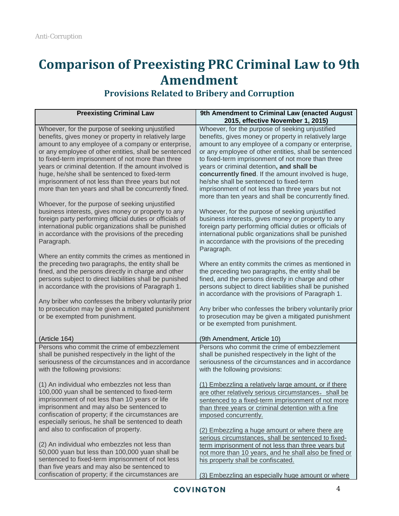# **Comparison of Preexisting PRC Criminal Law to 9th Amendment**

#### **Preexisting Criminal Law**  9th Amendment to Criminal Law (enacted August) **2015, effective November 1, 2015)** Whoever, for the purpose of seeking unjustified benefits, gives money or property in relatively large amount to any employee of a company or enterprise, or any employee of other entities, shall be sentenced to fixed-term imprisonment of not more than three years or criminal detention. If the amount involved is huge, he/she shall be sentenced to fixed-term imprisonment of not less than three years but not more than ten years and shall be concurrently fined. Whoever, for the purpose of seeking unjustified business interests, gives money or property to any foreign party performing official duties or officials of international public organizations shall be punished in accordance with the provisions of the preceding Paragraph. Where an entity commits the crimes as mentioned in the preceding two paragraphs, the entity shall be fined, and the persons directly in charge and other persons subject to direct liabilities shall be punished in accordance with the provisions of Paragraph 1. Any briber who confesses the bribery voluntarily prior to prosecution may be given a mitigated punishment or be exempted from punishment. (Article 164) Whoever, for the purpose of seeking unjustified benefits, gives money or property in relatively large amount to any employee of a company or enterprise, or any employee of other entities, shall be sentenced to fixed-term imprisonment of not more than three years or criminal detention**, and shall be concurrently fined**. If the amount involved is huge, he/she shall be sentenced to fixed-term imprisonment of not less than three years but not more than ten years and shall be concurrently fined. Whoever, for the purpose of seeking unjustified business interests, gives money or property to any foreign party performing official duties or officials of international public organizations shall be punished in accordance with the provisions of the preceding Paragraph. Where an entity commits the crimes as mentioned in the preceding two paragraphs, the entity shall be fined, and the persons directly in charge and other persons subject to direct liabilities shall be punished in accordance with the provisions of Paragraph 1. Any briber who confesses the bribery voluntarily prior to prosecution may be given a mitigated punishment or be exempted from punishment. (9th Amendment, Article 10) Persons who commit the crime of embezzlement shall be punished respectively in the light of the seriousness of the circumstances and in accordance with the following provisions: (1) An individual who embezzles not less than 100,000 yuan shall be sentenced to fixed-term imprisonment of not less than 10 years or life imprisonment and may also be sentenced to confiscation of property; if the circumstances are especially serious, he shall be sentenced to death and also to confiscation of property. (2) An individual who embezzles not less than 50,000 yuan but less than 100,000 yuan shall be sentenced to fixed-term imprisonment of not less than five years and may also be sentenced to Persons who commit the crime of embezzlement shall be punished respectively in the light of the seriousness of the circumstances and in accordance with the following provisions: (1) Embezzling a relatively large amount, or if there are other relatively serious circumstances, shall be sentenced to a fixed-term imprisonment of not more than three years or criminal detention with a fine imposed concurrently. (2) Embezzling a huge amount or where there are serious circumstances, shall be sentenced to fixedterm imprisonment of not less than three years but not more than 10 years, and he shall also be fined or his property shall be confiscated.

### **Provisions Related to Bribery and Corruption**

(3) Embezzling an especially huge amount or where

confiscation of property; if the circumstances are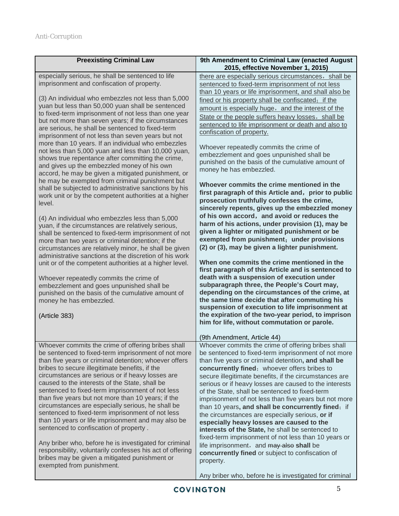| <b>Preexisting Criminal Law</b>                                                                                                                                                                                                                                                                                                                                                                                                                                                                                                                                                                                                                                                                                                                                                                                                                                                                                                                                                                                                                                                                                                                                                                                                                                                                                                                                                                                                                                                        | 9th Amendment to Criminal Law (enacted August                                                                                                                                                                                                                                                                                                                                                                                                                                                                                                                                                                                                                                                                                                                                                                                                                                                                                                                                                                                                                                                                                                                                                                                                                                                                                                                                                                                                                                                                               |
|----------------------------------------------------------------------------------------------------------------------------------------------------------------------------------------------------------------------------------------------------------------------------------------------------------------------------------------------------------------------------------------------------------------------------------------------------------------------------------------------------------------------------------------------------------------------------------------------------------------------------------------------------------------------------------------------------------------------------------------------------------------------------------------------------------------------------------------------------------------------------------------------------------------------------------------------------------------------------------------------------------------------------------------------------------------------------------------------------------------------------------------------------------------------------------------------------------------------------------------------------------------------------------------------------------------------------------------------------------------------------------------------------------------------------------------------------------------------------------------|-----------------------------------------------------------------------------------------------------------------------------------------------------------------------------------------------------------------------------------------------------------------------------------------------------------------------------------------------------------------------------------------------------------------------------------------------------------------------------------------------------------------------------------------------------------------------------------------------------------------------------------------------------------------------------------------------------------------------------------------------------------------------------------------------------------------------------------------------------------------------------------------------------------------------------------------------------------------------------------------------------------------------------------------------------------------------------------------------------------------------------------------------------------------------------------------------------------------------------------------------------------------------------------------------------------------------------------------------------------------------------------------------------------------------------------------------------------------------------------------------------------------------------|
|                                                                                                                                                                                                                                                                                                                                                                                                                                                                                                                                                                                                                                                                                                                                                                                                                                                                                                                                                                                                                                                                                                                                                                                                                                                                                                                                                                                                                                                                                        | 2015, effective November 1, 2015)                                                                                                                                                                                                                                                                                                                                                                                                                                                                                                                                                                                                                                                                                                                                                                                                                                                                                                                                                                                                                                                                                                                                                                                                                                                                                                                                                                                                                                                                                           |
| especially serious, he shall be sentenced to life<br>imprisonment and confiscation of property.<br>(3) An individual who embezzles not less than 5,000<br>yuan but less than 50,000 yuan shall be sentenced<br>to fixed-term imprisonment of not less than one year<br>but not more than seven years; if the circumstances<br>are serious, he shall be sentenced to fixed-term<br>imprisonment of not less than seven years but not<br>more than 10 years. If an individual who embezzles<br>not less than 5,000 yuan and less than 10,000 yuan,<br>shows true repentance after committing the crime,<br>and gives up the embezzled money of his own<br>accord, he may be given a mitigated punishment, or<br>he may be exempted from criminal punishment but<br>shall be subjected to administrative sanctions by his<br>work unit or by the competent authorities at a higher<br>level.<br>(4) An individual who embezzles less than 5,000<br>yuan, if the circumstances are relatively serious,<br>shall be sentenced to fixed-term imprisonment of not<br>more than two years or criminal detention; if the<br>circumstances are relatively minor, he shall be given<br>administrative sanctions at the discretion of his work<br>unit or of the competent authorities at a higher level.<br>Whoever repeatedly commits the crime of<br>embezzlement and goes unpunished shall be<br>punished on the basis of the cumulative amount of<br>money he has embezzled.<br>(Article 383) | there are especially serious circumstances, shall be<br>sentenced to fixed-term imprisonment of not less<br>than 10 years or life imprisonment, and shall also be<br>fined or his property shall be confiscated; if the<br>amount is especially huge, and the interest of the<br>State or the people suffers heavy losses, shall be<br>sentenced to life imprisonment or death and also to<br>confiscation of property.<br>Whoever repeatedly commits the crime of<br>embezzlement and goes unpunished shall be<br>punished on the basis of the cumulative amount of<br>money he has embezzled.<br>Whoever commits the crime mentioned in the<br>first paragraph of this Article and, prior to public<br>prosecution truthfully confesses the crime,<br>sincerely repents, gives up the embezzled money<br>of his own accord, and avoid or reduces the<br>harm of his actions, under provision (1), may be<br>given a lighter or mitigated punishment or be<br>exempted from punishment; under provisions<br>(2) or (3), may be given a lighter punishment.<br>When one commits the crime mentioned in the<br>first paragraph of this Article and is sentenced to<br>death with a suspension of execution under<br>subparagraph three, the People's Court may,<br>depending on the circumstances of the crime, at<br>the same time decide that after commuting his<br>suspension of execution to life imprisonment at<br>the expiration of the two-year period, to imprison<br>him for life, without commutation or parole. |
| Whoever commits the crime of offering bribes shall                                                                                                                                                                                                                                                                                                                                                                                                                                                                                                                                                                                                                                                                                                                                                                                                                                                                                                                                                                                                                                                                                                                                                                                                                                                                                                                                                                                                                                     | (9th Amendment, Article 44)<br>Whoever commits the crime of offering bribes shall                                                                                                                                                                                                                                                                                                                                                                                                                                                                                                                                                                                                                                                                                                                                                                                                                                                                                                                                                                                                                                                                                                                                                                                                                                                                                                                                                                                                                                           |
| be sentenced to fixed-term imprisonment of not more<br>than five years or criminal detention; whoever offers<br>bribes to secure illegitimate benefits, if the<br>circumstances are serious or if heavy losses are<br>caused to the interests of the State, shall be<br>sentenced to fixed-term imprisonment of not less<br>than five years but not more than 10 years; if the<br>circumstances are especially serious, he shall be<br>sentenced to fixed-term imprisonment of not less<br>than 10 years or life imprisonment and may also be<br>sentenced to confiscation of property.<br>Any briber who, before he is investigated for criminal<br>responsibility, voluntarily confesses his act of offering<br>bribes may be given a mitigated punishment or<br>exempted from punishment.                                                                                                                                                                                                                                                                                                                                                                                                                                                                                                                                                                                                                                                                                           | be sentenced to fixed-term imprisonment of not more<br>than five years or criminal detention, and shall be<br>concurrently fined; whoever offers bribes to<br>secure illegitimate benefits, if the circumstances are<br>serious or if heavy losses are caused to the interests<br>of the State, shall be sentenced to fixed-term<br>imprisonment of not less than five years but not more<br>than 10 years, and shall be concurrently fined; if<br>the circumstances are especially serious, or if<br>especially heavy losses are caused to the<br>interests of the State, he shall be sentenced to<br>fixed-term imprisonment of not less than 10 years or<br>life imprisonment, and may alse shall be<br>concurrently fined or subject to confiscation of<br>property.<br>Any briber who, before he is investigated for criminal                                                                                                                                                                                                                                                                                                                                                                                                                                                                                                                                                                                                                                                                                          |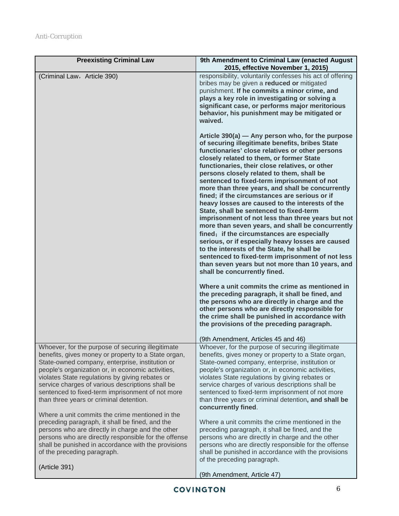| <b>Preexisting Criminal Law</b>                                                                                                                                                                                                                                                                                                                                                                                        | 9th Amendment to Criminal Law (enacted August<br>2015, effective November 1, 2015)                                                                                                                                                                                                                                                                                                                                                                                                                                                                                                                                                                                                                                                                                                                                                                                                                                                                                                                                                                                                                                                                                                                                                                             |
|------------------------------------------------------------------------------------------------------------------------------------------------------------------------------------------------------------------------------------------------------------------------------------------------------------------------------------------------------------------------------------------------------------------------|----------------------------------------------------------------------------------------------------------------------------------------------------------------------------------------------------------------------------------------------------------------------------------------------------------------------------------------------------------------------------------------------------------------------------------------------------------------------------------------------------------------------------------------------------------------------------------------------------------------------------------------------------------------------------------------------------------------------------------------------------------------------------------------------------------------------------------------------------------------------------------------------------------------------------------------------------------------------------------------------------------------------------------------------------------------------------------------------------------------------------------------------------------------------------------------------------------------------------------------------------------------|
| (Criminal Law, Article 390)                                                                                                                                                                                                                                                                                                                                                                                            | responsibility, voluntarily confesses his act of offering<br>bribes may be given a reduced or mitigated<br>punishment. If he commits a minor crime, and<br>plays a key role in investigating or solving a<br>significant case, or performs major meritorious<br>behavior, his punishment may be mitigated or<br>waived.                                                                                                                                                                                                                                                                                                                                                                                                                                                                                                                                                                                                                                                                                                                                                                                                                                                                                                                                        |
|                                                                                                                                                                                                                                                                                                                                                                                                                        | Article 390(a) — Any person who, for the purpose<br>of securing illegitimate benefits, bribes State<br>functionaries' close relatives or other persons<br>closely related to them, or former State<br>functionaries, their close relatives, or other<br>persons closely related to them, shall be<br>sentenced to fixed-term imprisonment of not<br>more than three years, and shall be concurrently<br>fined; if the circumstances are serious or if<br>heavy losses are caused to the interests of the<br>State, shall be sentenced to fixed-term<br>imprisonment of not less than three years but not<br>more than seven years, and shall be concurrently<br>fined; if the circumstances are especially<br>serious, or if especially heavy losses are caused<br>to the interests of the State, he shall be<br>sentenced to fixed-term imprisonment of not less<br>than seven years but not more than 10 years, and<br>shall be concurrently fined.<br>Where a unit commits the crime as mentioned in<br>the preceding paragraph, it shall be fined, and<br>the persons who are directly in charge and the<br>other persons who are directly responsible for<br>the crime shall be punished in accordance with<br>the provisions of the preceding paragraph. |
|                                                                                                                                                                                                                                                                                                                                                                                                                        | (9th Amendment, Articles 45 and 46)                                                                                                                                                                                                                                                                                                                                                                                                                                                                                                                                                                                                                                                                                                                                                                                                                                                                                                                                                                                                                                                                                                                                                                                                                            |
| Whoever, for the purpose of securing illegitimate<br>benefits, gives money or property to a State organ,<br>State-owned company, enterprise, institution or<br>people's organization or, in economic activities,<br>violates State regulations by giving rebates or<br>service charges of various descriptions shall be<br>sentenced to fixed-term imprisonment of not more<br>than three years or criminal detention. | Whoever, for the purpose of securing illegitimate<br>benefits, gives money or property to a State organ,<br>State-owned company, enterprise, institution or<br>people's organization or, in economic activities,<br>violates State regulations by giving rebates or<br>service charges of various descriptions shall be<br>sentenced to fixed-term imprisonment of not more<br>than three years or criminal detention, and shall be<br>concurrently fined.                                                                                                                                                                                                                                                                                                                                                                                                                                                                                                                                                                                                                                                                                                                                                                                                     |
| Where a unit commits the crime mentioned in the<br>preceding paragraph, it shall be fined, and the<br>persons who are directly in charge and the other<br>persons who are directly responsible for the offense<br>shall be punished in accordance with the provisions<br>of the preceding paragraph.                                                                                                                   | Where a unit commits the crime mentioned in the<br>preceding paragraph, it shall be fined, and the<br>persons who are directly in charge and the other<br>persons who are directly responsible for the offense<br>shall be punished in accordance with the provisions<br>of the preceding paragraph.                                                                                                                                                                                                                                                                                                                                                                                                                                                                                                                                                                                                                                                                                                                                                                                                                                                                                                                                                           |
| (Article 391)                                                                                                                                                                                                                                                                                                                                                                                                          | (9th Amendment, Article 47)                                                                                                                                                                                                                                                                                                                                                                                                                                                                                                                                                                                                                                                                                                                                                                                                                                                                                                                                                                                                                                                                                                                                                                                                                                    |